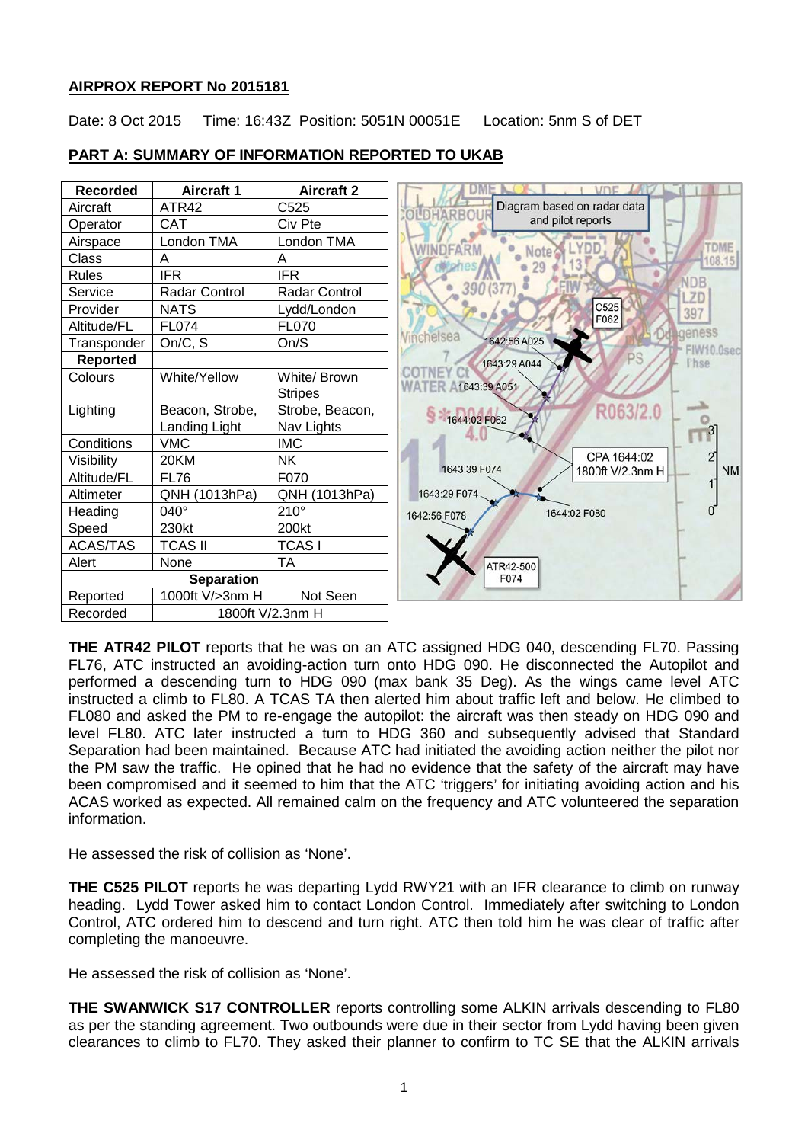# **AIRPROX REPORT No 2015181**

Date: 8 Oct 2015 Time: 16:43Z Position: 5051N 00051E Location: 5nm S of DET



# **PART A: SUMMARY OF INFORMATION REPORTED TO UKAB**

**THE ATR42 PILOT** reports that he was on an ATC assigned HDG 040, descending FL70. Passing FL76, ATC instructed an avoiding-action turn onto HDG 090. He disconnected the Autopilot and performed a descending turn to HDG 090 (max bank 35 Deg). As the wings came level ATC instructed a climb to FL80. A TCAS TA then alerted him about traffic left and below. He climbed to FL080 and asked the PM to re-engage the autopilot: the aircraft was then steady on HDG 090 and level FL80. ATC later instructed a turn to HDG 360 and subsequently advised that Standard Separation had been maintained. Because ATC had initiated the avoiding action neither the pilot nor the PM saw the traffic. He opined that he had no evidence that the safety of the aircraft may have been compromised and it seemed to him that the ATC 'triggers' for initiating avoiding action and his ACAS worked as expected. All remained calm on the frequency and ATC volunteered the separation information.

He assessed the risk of collision as 'None'.

**THE C525 PILOT** reports he was departing Lydd RWY21 with an IFR clearance to climb on runway heading. Lydd Tower asked him to contact London Control. Immediately after switching to London Control, ATC ordered him to descend and turn right. ATC then told him he was clear of traffic after completing the manoeuvre.

He assessed the risk of collision as 'None'.

**THE SWANWICK S17 CONTROLLER** reports controlling some ALKIN arrivals descending to FL80 as per the standing agreement. Two outbounds were due in their sector from Lydd having been given clearances to climb to FL70. They asked their planner to confirm to TC SE that the ALKIN arrivals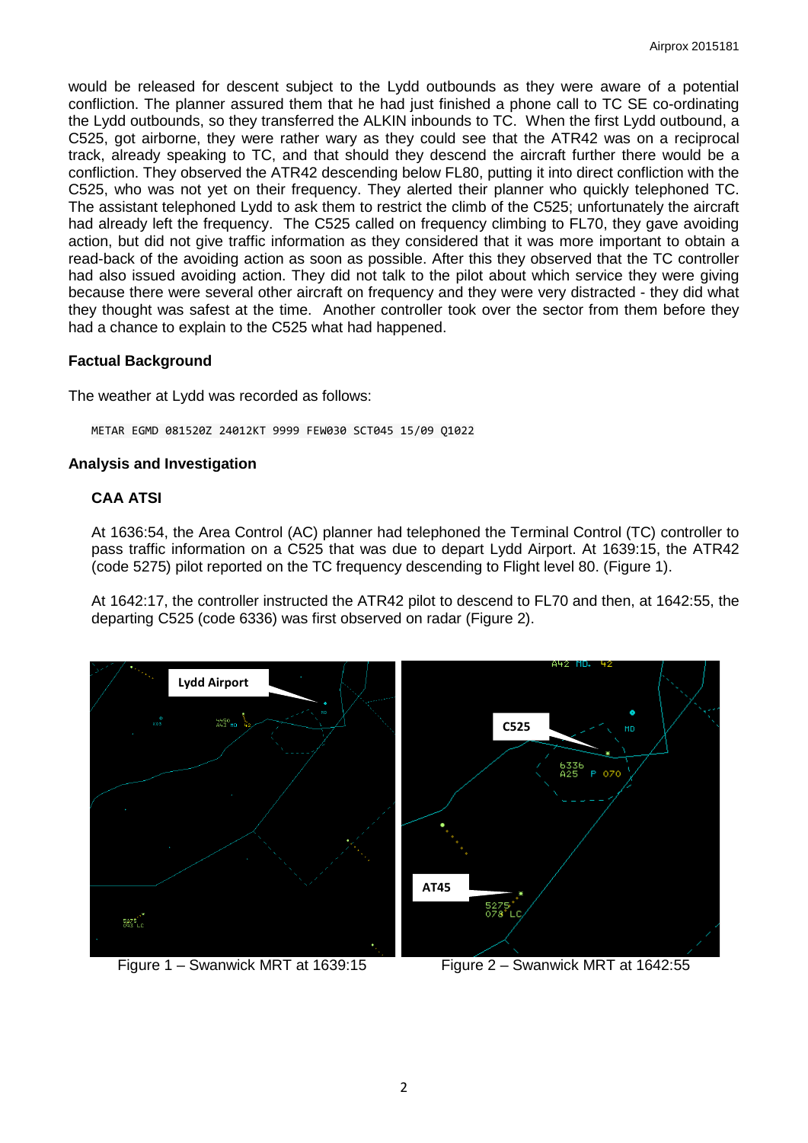would be released for descent subject to the Lydd outbounds as they were aware of a potential confliction. The planner assured them that he had just finished a phone call to TC SE co-ordinating the Lydd outbounds, so they transferred the ALKIN inbounds to TC. When the first Lydd outbound, a C525, got airborne, they were rather wary as they could see that the ATR42 was on a reciprocal track, already speaking to TC, and that should they descend the aircraft further there would be a confliction. They observed the ATR42 descending below FL80, putting it into direct confliction with the C525, who was not yet on their frequency. They alerted their planner who quickly telephoned TC. The assistant telephoned Lydd to ask them to restrict the climb of the C525; unfortunately the aircraft had already left the frequency. The C525 called on frequency climbing to FL70, they gave avoiding action, but did not give traffic information as they considered that it was more important to obtain a read-back of the avoiding action as soon as possible. After this they observed that the TC controller had also issued avoiding action. They did not talk to the pilot about which service they were giving because there were several other aircraft on frequency and they were very distracted - they did what they thought was safest at the time. Another controller took over the sector from them before they had a chance to explain to the C525 what had happened.

# **Factual Background**

The weather at Lydd was recorded as follows:

METAR EGMD 081520Z 24012KT 9999 FEW030 SCT045 15/09 Q1022

### **Analysis and Investigation**

# **CAA ATSI**

At 1636:54, the Area Control (AC) planner had telephoned the Terminal Control (TC) controller to pass traffic information on a C525 that was due to depart Lydd Airport. At 1639:15, the ATR42 (code 5275) pilot reported on the TC frequency descending to Flight level 80. (Figure 1).

At 1642:17, the controller instructed the ATR42 pilot to descend to FL70 and then, at 1642:55, the departing C525 (code 6336) was first observed on radar (Figure 2).



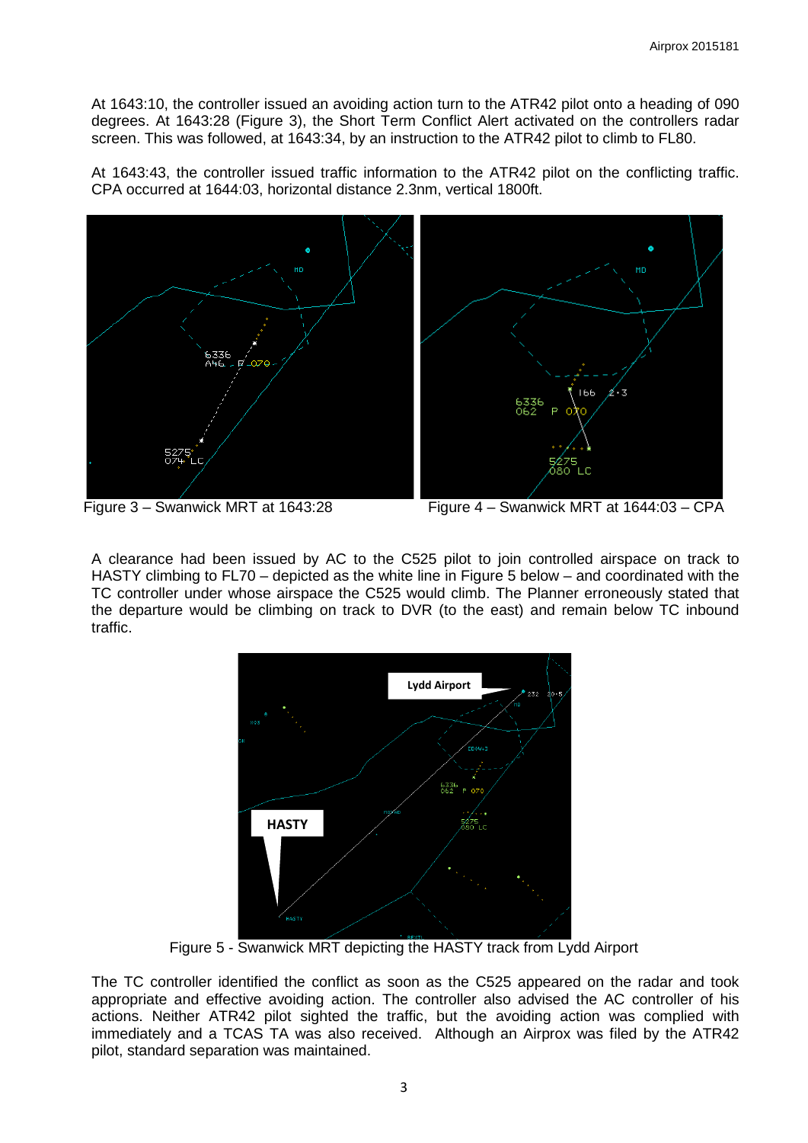At 1643:10, the controller issued an avoiding action turn to the ATR42 pilot onto a heading of 090 degrees. At 1643:28 (Figure 3), the Short Term Conflict Alert activated on the controllers radar screen. This was followed, at 1643:34, by an instruction to the ATR42 pilot to climb to FL80.

At 1643:43, the controller issued traffic information to the ATR42 pilot on the conflicting traffic. CPA occurred at 1644:03, horizontal distance 2.3nm, vertical 1800ft.





Figure 3 – Swanwick MRT at 1643:28 Figure 4 – Swanwick MRT at 1644:03 – CPA

A clearance had been issued by AC to the C525 pilot to join controlled airspace on track to HASTY climbing to FL70 – depicted as the white line in Figure 5 below – and coordinated with the TC controller under whose airspace the C525 would climb. The Planner erroneously stated that the departure would be climbing on track to DVR (to the east) and remain below TC inbound traffic.



Figure 5 - Swanwick MRT depicting the HASTY track from Lydd Airport

The TC controller identified the conflict as soon as the C525 appeared on the radar and took appropriate and effective avoiding action. The controller also advised the AC controller of his actions. Neither ATR42 pilot sighted the traffic, but the avoiding action was complied with immediately and a TCAS TA was also received. Although an Airprox was filed by the ATR42 pilot, standard separation was maintained.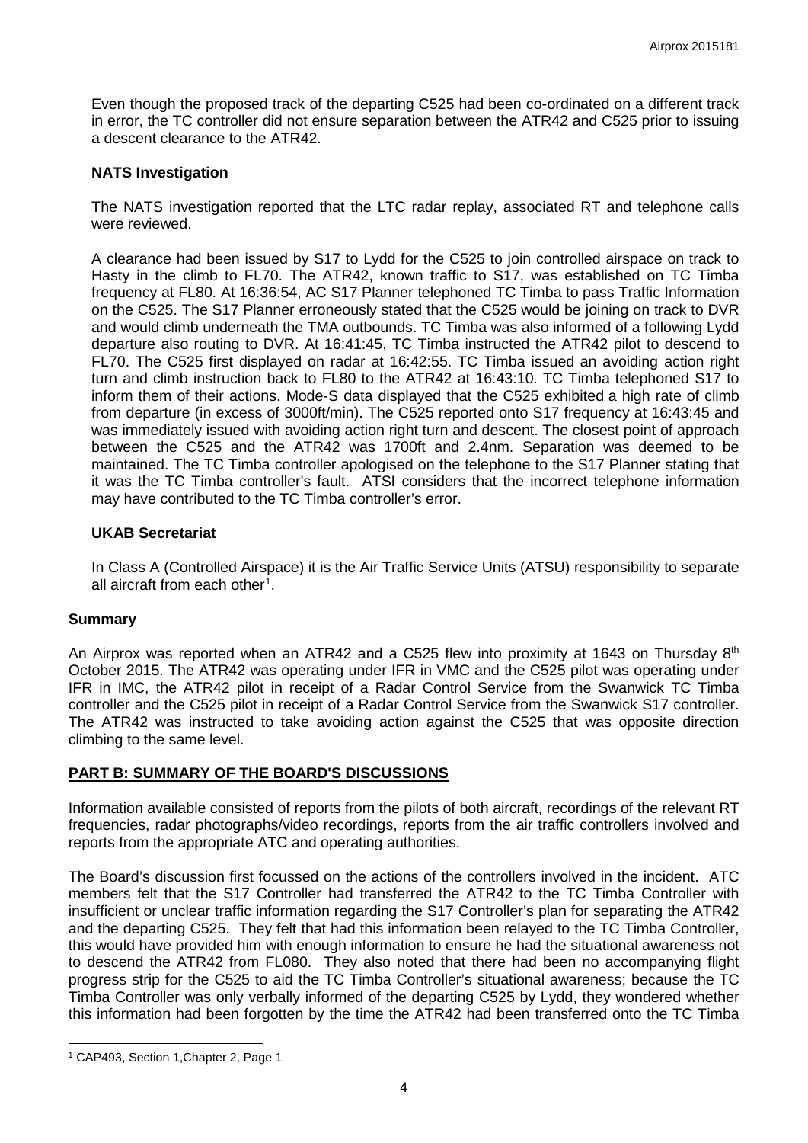Even though the proposed track of the departing C525 had been co-ordinated on a different track in error, the TC controller did not ensure separation between the ATR42 and C525 prior to issuing a descent clearance to the ATR42.

### **NATS Investigation**

The NATS investigation reported that the LTC radar replay, associated RT and telephone calls were reviewed.

A clearance had been issued by S17 to Lydd for the C525 to join controlled airspace on track to Hasty in the climb to FL70. The ATR42, known traffic to S17, was established on TC Timba frequency at FL80. At 16:36:54, AC S17 Planner telephoned TC Timba to pass Traffic Information on the C525. The S17 Planner erroneously stated that the C525 would be joining on track to DVR and would climb underneath the TMA outbounds. TC Timba was also informed of a following Lydd departure also routing to DVR. At 16:41:45, TC Timba instructed the ATR42 pilot to descend to FL70. The C525 first displayed on radar at 16:42:55. TC Timba issued an avoiding action right turn and climb instruction back to FL80 to the ATR42 at 16:43:10. TC Timba telephoned S17 to inform them of their actions. Mode-S data displayed that the C525 exhibited a high rate of climb from departure (in excess of 3000ft/min). The C525 reported onto S17 frequency at 16:43:45 and was immediately issued with avoiding action right turn and descent. The closest point of approach between the C525 and the ATR42 was 1700ft and 2.4nm. Separation was deemed to be maintained. The TC Timba controller apologised on the telephone to the S17 Planner stating that it was the TC Timba controller's fault. ATSI considers that the incorrect telephone information may have contributed to the TC Timba controller's error.

### **UKAB Secretariat**

In Class A (Controlled Airspace) it is the Air Traffic Service Units (ATSU) responsibility to separate all aircraft from each other<sup>[1](#page-3-0)</sup>.

### **Summary**

An Airprox was reported when an ATR42 and a C525 flew into proximity at 1643 on Thursday 8<sup>th</sup> October 2015. The ATR42 was operating under IFR in VMC and the C525 pilot was operating under IFR in IMC, the ATR42 pilot in receipt of a Radar Control Service from the Swanwick TC Timba controller and the C525 pilot in receipt of a Radar Control Service from the Swanwick S17 controller. The ATR42 was instructed to take avoiding action against the C525 that was opposite direction climbing to the same level.

# **PART B: SUMMARY OF THE BOARD'S DISCUSSIONS**

Information available consisted of reports from the pilots of both aircraft, recordings of the relevant RT frequencies, radar photographs/video recordings, reports from the air traffic controllers involved and reports from the appropriate ATC and operating authorities.

The Board's discussion first focussed on the actions of the controllers involved in the incident. ATC members felt that the S17 Controller had transferred the ATR42 to the TC Timba Controller with insufficient or unclear traffic information regarding the S17 Controller's plan for separating the ATR42 and the departing C525. They felt that had this information been relayed to the TC Timba Controller, this would have provided him with enough information to ensure he had the situational awareness not to descend the ATR42 from FL080. They also noted that there had been no accompanying flight progress strip for the C525 to aid the TC Timba Controller's situational awareness; because the TC Timba Controller was only verbally informed of the departing C525 by Lydd, they wondered whether this information had been forgotten by the time the ATR42 had been transferred onto the TC Timba

 $\overline{\phantom{a}}$ 

<span id="page-3-0"></span><sup>1</sup> CAP493, Section 1,Chapter 2, Page 1